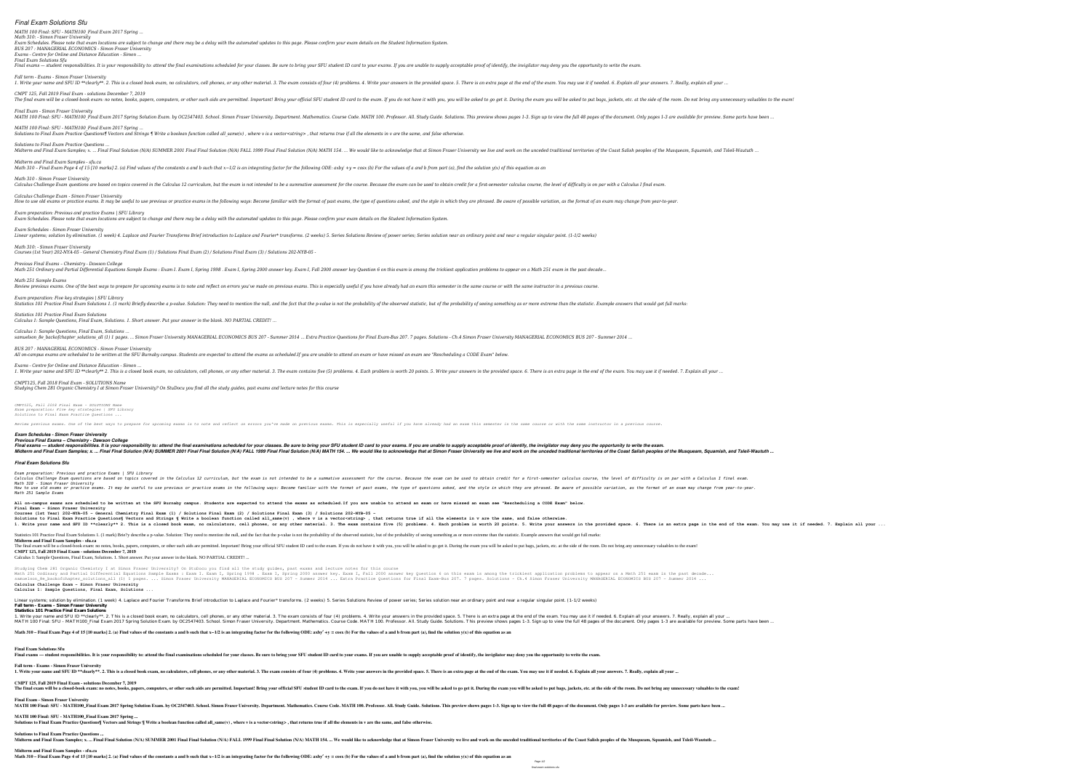# *Final Exam Solutions Sfu*

*MATH 100 Final: SFU - MATH100\_Final Exam 2017 Spring ...*

*Math 310: - Simon Fraser University Exam Schedules. Please note that exam locations are subject to change and there may be a delay with the automated updates to this page. Please confirm your exam details on the Student Information System. BUS 207 : MANAGERIAL ECONOMICS - Simon Fraser University Exams - Centre for Online and Distance Education - Simon ...*

## *Final Exam Solutions Sfu*

Final exams — student responsibilities. It is your responsibility to: attend the final examinations scheduled for your classes. Be sure to bring your SFU student ID card to your exams. If you are unable to supply acceptabl *Fall term - Exams - Simon Fraser University* 1. Write your name and SFU ID \*\*clearly\*\*. 2. This is a closed book exam, no calculators, cell phones, or any other material. 3. The exam consists of four (4) problems. 4. Write your answers in the end of the exam. You may *CMPT 125, Fall 2019 Final Exam - solutions December 7, 2019* The final exam will be a closed-book exam: no notes, books, papers, computers, or other such aids are permitted. Important! Bring your official SFU student ID card to the exam you will be asked to put bags, jackets, etc. a *Final Exam - Simon Fraser University* MATH 100 Final: SFU - MATH100 Final Exam 2017 Spring Solution Exam. by OC2547403. School. Simon Fraser University. Department. Mathematics. Course Code. MATH 100. Professor. All. Study Guide. Solutions. This preview shows *MATH 100 Final: SFU - MATH100\_Final Exam 2017 Spring ...* Solutions to Final Exam Practice Questions¶ Vectors and Strings ¶ Write a boolean function called all\_same(v), where v is a vector<string>, that returns true if all the elements in v are the same, and false otherwise.

Calculus Challenge Exam questions are based on topics covered in the Calculus 12 curriculum, but the exam is not intended to be a summative assessment for the course. Because the exam can be used to obtain credit for a fir *Calculus Challenge Exam - Simon Fraser University* How to use old exams or practice exams. It may be useful to use previous or practice exams in the following ways: Become familiar with the format of past exams, the type of questions asked, and the style in which they are *Exam preparation: Previous and practice Exams | SFU Library Exam Schedules. Please note that exam locations are subject to change and there may be a delay with the automated updates to this page. Please confirm your exam details on the Student Information System.*

*Previous Final Exams – Chemistry - Dawson College* Math 251 Ordinary and Partial Differential Equations Sample Exams : Exam I. Exam I. Spring 1998 . Exam I, Spring 2000 answer key. Exam I, Fall 2000 answer key Question 6 on this exam is among the trickiest application prob *Math 251 Sample Exams* Review previous exams. One of the best ways to prepare for upcoming exams is to note and reflect on errors you've made on previous exams. This is especially useful if you have already had an exam this semester in the same *Exam preparation: Five key strategies | SFU Library* Statistics 101 Practice Final Exam Solutions 1. (1 mark) Briefly describe a p-value. Solution: They need to mention the null, and the fact that the p-value is not the probability of seeing something as or more extreme than

*Solutions to Final Exam Practice Questions ...*

Midterm and Final Exam Samples; x. ... Final Final Solution (N/A) SUMMER 2001 Final Final Solution (N/A) FALL 1999 Final Final Solution (N/A) MATH 154. ... We would like to acknowledge that at Simon Fraser University we li *Midterm and Final Exam Samples - sfu.ca* Math 310 - Final Exam Page 4 of 15 [10 marks] 2. (a) Find values of the constants a and b such that  $x-1/2$  is an integrating factor for the following ODE: axby  $+y = cosx$  (b) For the values of a and b from part (a), find the

*Math 310 - Simon Fraser University*

samuelson 8e backofchapter solutions all (1) 1 pages. ... Simon Fraser University MANAGERIAL ECONOMICS BUS 207 - Summer 2014 ... Extra Practice Questions for Final Exam-Bus 207. 7 pages. Solutions - Ch.4 Simon Fraser Unive *BUS 207 : MANAGERIAL ECONOMICS - Simon Fraser University*

All on-campus exams are scheduled to be written at the SFU Burnaby campus. Students are expected to attend the exams as scheduled.If you are unable to attend an exam or have missed an exam see "Rescheduling a CODE Exam" be

*Exam Schedules - Simon Fraser University* Linear systems; solution by elimination. (1 week) 4. Laplace and Fourier Transforms Brief introduction to Laplace and Fourier\* transforms. (2 weeks) 5. Series solution sear an ordinary point and near a regular singular poi *Math 310: - Simon Fraser University*

*Courses (1st Year) 202-NYA-05 - General Chemistry Final Exam (1) / Solutions Final Exam (2) / Solutions Final Exam (3) / Solutions 202-NYB-05 -*

Calculus Challenge Exam questions are based on topics covered in the Calculus 12 curriculum, but the exam is not intended to be a summative assessment for a first-semester calculus course, the level of difficulty is on par *Math 310 - Simon Fraser University* How to use old exams or practice exams. It may be useful to use previous or practice exams in the following ways: Become familiar with the format of past exams, the type of questions asked, and the style in which they are *Math 251 Sample Exams*

All on-campus exams are scheduled to be written at the SFU Burnaby campus. Students are expected to attend the exams as scheduled. If you are unable to attend an exam or have missed an exam see "Rescheduling a CODE Exam" b **Final Exam - Simon Fraser University Courses (1st Year) 202-NYA-05 - General Chemistry Final Exam (1) / Solutions Final Exam (2) / Solutions Final Exam (3) / Solutions 202-NYB-05 -**

Solutions to Final Exam Practice Questions¶ Vectors and Strings ¶ Write a boolean function called all\_same(v), where v is a vector<string>, that returns true if all the elements in v are the same, and false otherwise. 1. Write your name and SFU ID \*\*clearly\*\* 2. This is a closed book exam, no calculators, cell phones, cell phones, or any other material. 3. The exam contains five (5) problems. 4. Each problem is worth 20 points. 5. Write Statistics 101 Practice Final Exam Solutions 1. (1 mark) Brie?y describe a p-value. Solution: They need to mention the null, and the fact that the p-value is not the probability of the observed statistic, but of the probab **Midterm and Final Exam Samples - sfu.ca** The final exam will be a closed-book exam: no notes, books, papers, computers, or other such aids are permitted. Important! Bring your official SFU student ID card to the exam. If you do not have it with you, you will be a

*Statistics 101 Practice Final Exam Solutions Calculus 1: Sample Questions, Final Exam, Solutions. 1. Short answer. Put your answer in the blank. NO PARTIAL CREDIT! ...*

## *Calculus 1: Sample Questions, Final Exam, Solutions ...*

Linear systems: solution by elimination. (1 week) 4. Laplace and Fourier Transforms Brief introduction to Laplace and Fourier\* transforms. (2 weeks) 5. Series Solutions Review of power series: Series solution near an ordin **Fall term - Exams - Simon Fraser University**

**Statistics 101 Practice Final Exam Solutions** 1. Write your name and SFU ID \*\*clearly\*\*. 2. This is a closed book exam, no calculators, cell phones, or any other material. 3. The exam consists of four (4) problems. 4. Write your answers in the provided space. 5. There MATH 100 Final: SFU - MATH100 Final Exam 2017 Spring Solution Exam. by OC2547403. School. Simon Fraser University. Department. Mathematics, Course Code. MATH 100. Professor. All. Study Guide. Solutions. This preview shows Math 310 – Final Exam Page 4 of 15 [10 marks] 2. (a) Find values of the constants a and b such that x-1/2 is an integrating factor for the following ODE: axby' +y = cosx (b) For the values of a and b from part (a), find t

*Exams - Centre for Online and Distance Education - Simon ...* 1. Write your name and SFU ID \*\*clearly\*\* 2. This is a closed book exam, no calculators, cell phones, or any other material. 3. The exam contains five (5) problem is worth 20 points. 5. Write your answers in the provided s *CMPT125, Fall 2018 Final Exam - SOLUTIONS Name*

**Fall term - Exams - Simon Fraser University** 1. Write your name and SFU ID \*\*clearly\*\*. 2. This is a closed book exam, no calculators, cell phones, or any other material. 3. The exam consists of four (4) problems. 4. Write your answers in the provided space. 5. There

*Studying Chem 281 Organic Chemistry I at Simon Fraser University? On StuDocu you find all the study guides, past exams and lecture notes for this course*

**CMPT 125, Fall 2019 Final Exam - solutions December 7, 2019** The final exam will be a closed-book exam: no notes, books, papers, computers, or other such aids are permitted. Important! Bring your official SFU student ID card to the exam you will be asked to put bags, jackets, etc. a

# *CMPT125, Fall 2018 Final Exam - SOLUTIONS Name*

*Exam preparation: Five key strategies | SFU Library Solutions to Final Exam Practice Questions ...*

Review previous exams. One of the best ways to prepare for upcoming exams is to note and reflect on errors you've made on previous exams. This is especially useful if you have already had an exam this semester in the same

### *Exam Schedules - Simon Fraser University Previous Final Exams – Chemistry - Dawson College*

### *Final Exam Solutions Sfu*

*Exam preparation: Previous and practice Exams | SFU Library*

**CMPT 125, Fall 2019 Final Exam - solutions December 7, 2019** Calculus 1: Sample Questions, Final Exam, Solutions. 1. Short answer. Put your answer in the blank. NO PARTIAL CREDIT! ...

Studying Chem 281 Organic Chemistry I at Simon Fraser University? On StuDocu you find all the study guides, past exams and lecture notes for this course Nath 251 Ordinary and Partial Differential Equations Sample Exams : Exam I. Exam I. Exam I, Spring 1998 . Exam I, Spring 2000 answer key. Exam I, Fall 2000 answer key Question 6 on this exam is among the trickiest applicat samuelson\_8e\_backofchapter\_solutions\_all (1) 1 pages. ... Simon Fraser University MANAGERIAL ECONOMICS BUS 207 - Summer 2014 ... Extra Practice Questions for Final Exam-Bus 207. 7 pages. Solutions - Ch.4 Simon Fraser Unive **Calculus Challenge Exam - Simon Fraser University**

## **Calculus 1: Sample Questions, Final Exam, Solutions ...**

**Final Exam Solutions Sfu**

Final exams — student responsibilities. It is vour responsibility to: attend the final examinations scheduled for your classes. Be sure to bring your SFU student ID card to your exams. If you are unable to supply acceptabl

**Final Exam - Simon Fraser University**

MATH 100 Final: SFU - MATH100 Final Exam 2017 Spring Solution Exam. by OC2547403. School. Simon Fraser University. Department. Mathematics. Course Code. MATH 100. Professor. All. Study Guide. Solutions. This preview shows

**MATH 100 Final: SFU - MATH100\_Final Exam 2017 Spring ...**

**Solutions to Final Exam Practice Questions ...**

**Midterm and Final Exam Samples - sfu.ca**

Math 310 – Final Exam Page 4 of 15 [10 marks] 2. (a) Find values of the constants a and b such that x-1/2 is an integrating factor for the following ODE: axby' +y = cosx (b) For the values of a and b from part (a), find t

# Final exams — student responsibilities. It is your responsibility to: attend the final examinations scheduled for your classes. Be sure to bring your SFU student ID card to your exams. If you are unable to supply acceptabl Midterm and Final Exam Samples; x. ... Final Final Solution (N/A) SUMMER 2001 Final Final Solution (N/A) FALL 1999 Final Solution (N/A) MATH 154. ... We would like to acknowledge that at Simon Fraser University we live and

Solutions to Final Exam Practice Questions¶ Vectors and Strings ¶ Write a boolean function called all same(v), where v is a vector<string>, that returns true if all the elements in v are the same, and false otherwise.

Midterm and Final Exam Samples: x. ... Final Final Solution (N/A) SUMMER 2001 Final Final Final Final Solution (N/A) FALL 1999 Final Final Solution (N/A) MATH 154. ... We would like to acknowledge that at Simon Fraser Univ